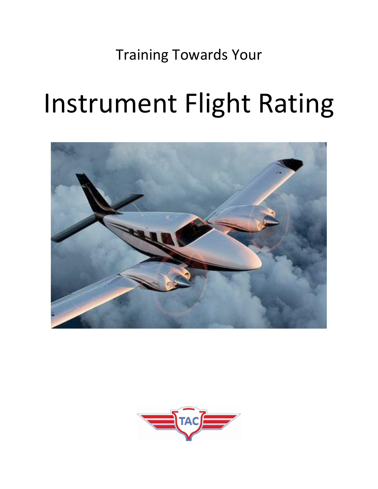Training Towards Your

# Instrument Flight Rating



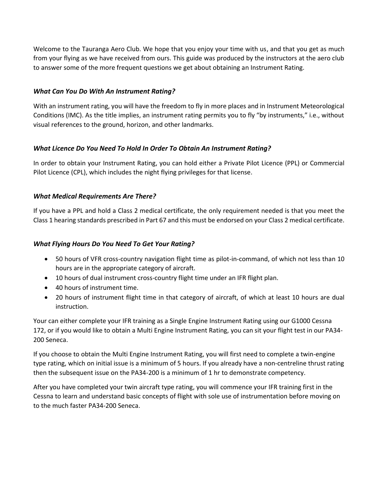Welcome to the Tauranga Aero Club. We hope that you enjoy your time with us, and that you get as much from your flying as we have received from ours. This guide was produced by the instructors at the aero club to answer some of the more frequent questions we get about obtaining an Instrument Rating.

# *What Can You Do With An Instrument Rating?*

With an instrument rating, you will have the freedom to fly in more places and in Instrument Meteorological Conditions (IMC). As the title implies, an instrument rating permits you to fly "by instruments," i.e., without visual references to the ground, horizon, and other landmarks.

# *What Licence Do You Need To Hold In Order To Obtain An Instrument Rating?*

In order to obtain your Instrument Rating, you can hold either a Private Pilot Licence (PPL) or Commercial Pilot Licence (CPL), which includes the night flying privileges for that license.

# *What Medical Requirements Are There?*

If you have a PPL and hold a Class 2 medical certificate, the only requirement needed is that you meet the Class 1 hearing standards prescribed in Part 67 and this must be endorsed on your Class 2 medical certificate.

# *What Flying Hours Do You Need To Get Your Rating?*

- 50 hours of VFR cross-country navigation flight time as pilot-in-command, of which not less than 10 hours are in the appropriate category of aircraft.
- 10 hours of dual instrument cross-country flight time under an IFR flight plan.
- 40 hours of instrument time.
- 20 hours of instrument flight time in that category of aircraft, of which at least 10 hours are dual instruction.

Your can either complete your IFR training as a Single Engine Instrument Rating using our G1000 Cessna 172, or if you would like to obtain a Multi Engine Instrument Rating, you can sit your flight test in our PA34- 200 Seneca.

If you choose to obtain the Multi Engine Instrument Rating, you will first need to complete a twin-engine type rating, which on initial issue is a minimum of 5 hours. If you already have a non-centreline thrust rating then the subsequent issue on the PA34-200 is a minimum of 1 hr to demonstrate competency.

After you have completed your twin aircraft type rating, you will commence your IFR training first in the Cessna to learn and understand basic concepts of flight with sole use of instrumentation before moving on to the much faster PA34-200 Seneca.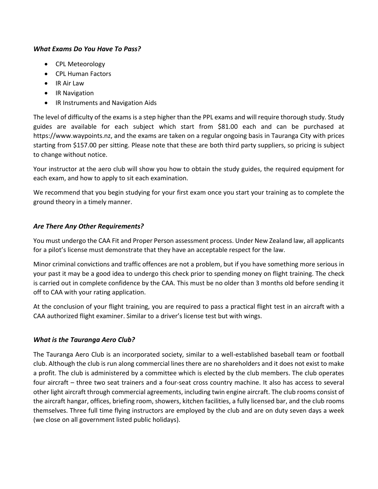# *What Exams Do You Have To Pass?*

- CPL Meteorology
- CPL Human Factors
- IR Air Law
- IR Navigation
- IR Instruments and Navigation Aids

The level of difficulty of the exams is a step higher than the PPL exams and will require thorough study. Study guides are available for each subject which start from \$81.00 each and can be purchased at https://www.waypoints.nz, and the exams are taken on a regular ongoing basis in Tauranga City with prices starting from \$157.00 per sitting. Please note that these are both third party suppliers, so pricing is subject to change without notice.

Your instructor at the aero club will show you how to obtain the study guides, the required equipment for each exam, and how to apply to sit each examination.

We recommend that you begin studying for your first exam once you start your training as to complete the ground theory in a timely manner.

# *Are There Any Other Requirements?*

You must undergo the CAA Fit and Proper Person assessment process. Under New Zealand law, all applicants for a pilot's license must demonstrate that they have an acceptable respect for the law.

Minor criminal convictions and traffic offences are not a problem, but if you have something more serious in your past it may be a good idea to undergo this check prior to spending money on flight training. The check is carried out in complete confidence by the CAA. This must be no older than 3 months old before sending it off to CAA with your rating application.

At the conclusion of your flight training, you are required to pass a practical flight test in an aircraft with a CAA authorized flight examiner. Similar to a driver's license test but with wings.

# *What is the Tauranga Aero Club?*

The Tauranga Aero Club is an incorporated society, similar to a well-established baseball team or football club. Although the club is run along commercial lines there are no shareholders and it does not exist to make a profit. The club is administered by a committee which is elected by the club members. The club operates four aircraft – three two seat trainers and a four-seat cross country machine. It also has access to several other light aircraft through commercial agreements, including twin engine aircraft. The club rooms consist of the aircraft hangar, offices, briefing room, showers, kitchen facilities, a fully licensed bar, and the club rooms themselves. Three full time flying instructors are employed by the club and are on duty seven days a week (we close on all government listed public holidays).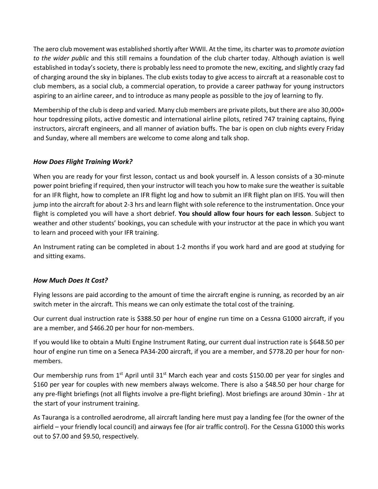The aero club movement was established shortly after WWII. At the time, its charter was to *promote aviation to the wider public* and this still remains a foundation of the club charter today. Although aviation is well established in today's society, there is probably less need to promote the new, exciting, and slightly crazy fad of charging around the sky in biplanes. The club exists today to give access to aircraft at a reasonable cost to club members, as a social club, a commercial operation, to provide a career pathway for young instructors aspiring to an airline career, and to introduce as many people as possible to the joy of learning to fly.

Membership of the club is deep and varied. Many club members are private pilots, but there are also 30,000+ hour topdressing pilots, active domestic and international airline pilots, retired 747 training captains, flying instructors, aircraft engineers, and all manner of aviation buffs. The bar is open on club nights every Friday and Sunday, where all members are welcome to come along and talk shop.

# *How Does Flight Training Work?*

When you are ready for your first lesson, contact us and book yourself in. A lesson consists of a 30-minute power point briefing if required, then your instructor will teach you how to make sure the weather is suitable for an IFR flight, how to complete an IFR flight log and how to submit an IFR flight plan on IFIS. You will then jump into the aircraft for about 2-3 hrs and learn flight with sole reference to the instrumentation. Once your flight is completed you will have a short debrief. **You should allow four hours for each lesson**. Subject to weather and other students' bookings, you can schedule with your instructor at the pace in which you want to learn and proceed with your IFR training.

An Instrument rating can be completed in about 1-2 months if you work hard and are good at studying for and sitting exams.

### *How Much Does It Cost?*

Flying lessons are paid according to the amount of time the aircraft engine is running, as recorded by an air switch meter in the aircraft. This means we can only estimate the total cost of the training.

Our current dual instruction rate is \$388.50 per hour of engine run time on a Cessna G1000 aircraft, if you are a member, and \$466.20 per hour for non-members.

If you would like to obtain a Multi Engine Instrument Rating, our current dual instruction rate is \$648.50 per hour of engine run time on a Seneca PA34-200 aircraft, if you are a member, and \$778.20 per hour for nonmembers.

Our membership runs from 1<sup>st</sup> April until 31<sup>st</sup> March each year and costs \$150.00 per year for singles and \$160 per year for couples with new members always welcome. There is also a \$48.50 per hour charge for any pre-flight briefings (not all flights involve a pre-flight briefing). Most briefings are around 30min - 1hr at the start of your instrument training.

As Tauranga is a controlled aerodrome, all aircraft landing here must pay a landing fee (for the owner of the airfield – your friendly local council) and airways fee (for air traffic control). For the Cessna G1000 this works out to \$7.00 and \$9.50, respectively.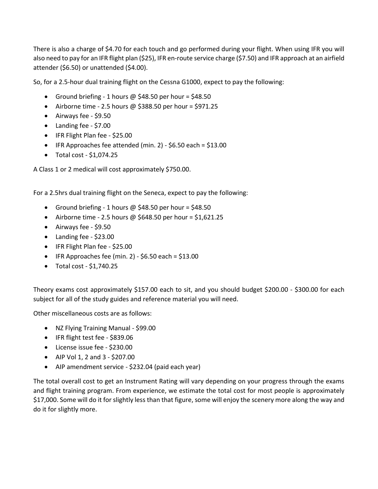There is also a charge of \$4.70 for each touch and go performed during your flight. When using IFR you will also need to pay for an IFR flight plan (\$25), IFR en-route service charge (\$7.50) and IFR approach at an airfield attender (\$6.50) or unattended (\$4.00).

So, for a 2.5-hour dual training flight on the Cessna G1000, expect to pay the following:

- Ground briefing 1 hours  $\omega$  \$48.50 per hour = \$48.50
- Airborne time 2.5 hours @ \$388.50 per hour = \$971.25
- Airways fee \$9.50
- Landing fee \$7.00
- IFR Flight Plan fee \$25.00
- IFR Approaches fee attended (min. 2) \$6.50 each = \$13.00
- Total cost  $$1,074.25$

A Class 1 or 2 medical will cost approximately \$750.00.

For a 2.5hrs dual training flight on the Seneca, expect to pay the following:

- Ground briefing 1 hours  $\omega$  \$48.50 per hour = \$48.50
- Airborne time 2.5 hours @ \$648.50 per hour = \$1,621.25
- Airways fee \$9.50
- Landing fee \$23.00
- IFR Flight Plan fee \$25.00
- IFR Approaches fee (min. 2)  $$6.50$  each =  $$13.00$
- Total cost \$1,740.25

Theory exams cost approximately \$157.00 each to sit, and you should budget \$200.00 - \$300.00 for each subject for all of the study guides and reference material you will need.

Other miscellaneous costs are as follows:

- NZ Flying Training Manual \$99.00
- IFR flight test fee \$839.06
- License issue fee \$230.00
- AIP Vol  $1, 2$  and  $3 $207.00$
- AIP amendment service \$232.04 (paid each year)

The total overall cost to get an Instrument Rating will vary depending on your progress through the exams and flight training program. From experience, we estimate the total cost for most people is approximately \$17,000. Some will do it for slightly less than that figure, some will enjoy the scenery more along the way and do it for slightly more.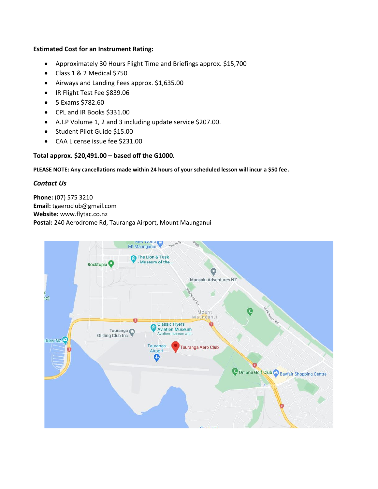#### **Estimated Cost for an Instrument Rating:**

- Approximately 30 Hours Flight Time and Briefings approx. \$15,700
- Class 1 & 2 Medical \$750
- Airways and Landing Fees approx. \$1,635.00
- IR Flight Test Fee \$839.06
- 5 Exams \$782.60
- CPL and IR Books \$331.00
- A.I.P Volume 1, 2 and 3 including update service \$207.00.
- Student Pilot Guide \$15.00
- CAA License issue fee \$231.00

### **Total approx. \$20,491.00 – based off the G1000.**

#### **PLEASE NOTE: Any cancellations made within 24 hours of your scheduled lesson will incur a \$50 fee.**

#### *Contact Us*

**Phone:** (07) 575 3210 **Email:** tgaeroclub@gmail.com **Website:** www.flytac.co.nz **Postal:** 240 Aerodrome Rd, Tauranga Airport, Mount Maunganui